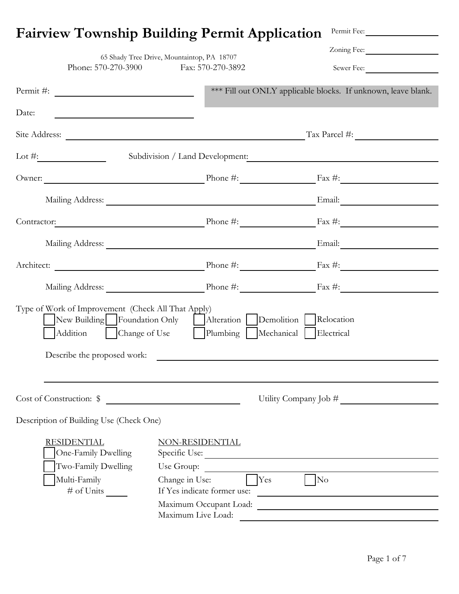|                                                                                                                                                                                                                                                                                               | <b>Fairview Township Building Permit Application</b>                                                                 | Permit Fee:                                                   |
|-----------------------------------------------------------------------------------------------------------------------------------------------------------------------------------------------------------------------------------------------------------------------------------------------|----------------------------------------------------------------------------------------------------------------------|---------------------------------------------------------------|
|                                                                                                                                                                                                                                                                                               | 65 Shady Tree Drive, Mountaintop, PA 18707                                                                           | Zoning Fee:                                                   |
|                                                                                                                                                                                                                                                                                               | Phone: 570-270-3900 Fax: 570-270-3892                                                                                | Sewer Fee:                                                    |
|                                                                                                                                                                                                                                                                                               |                                                                                                                      | *** Fill out ONLY applicable blocks. If unknown, leave blank. |
| Date:                                                                                                                                                                                                                                                                                         |                                                                                                                      |                                                               |
|                                                                                                                                                                                                                                                                                               |                                                                                                                      | Site Address: Tax Parcel #:                                   |
| Lot #: $\frac{2}{x}$ and $\frac{2}{x}$ and $\frac{2}{x}$ and $\frac{2}{x}$ and $\frac{2}{x}$ and $\frac{2}{x}$ and $\frac{2}{x}$ and $\frac{2}{x}$ and $\frac{2}{x}$ and $\frac{2}{x}$ and $\frac{2}{x}$ and $\frac{2}{x}$ and $\frac{2}{x}$ and $\frac{2}{x}$ and $\frac{2}{x}$ and $\frac{$ |                                                                                                                      | Subdivision / Land Development:                               |
|                                                                                                                                                                                                                                                                                               |                                                                                                                      | Owner: Phone #: Phone #: Fax #:                               |
|                                                                                                                                                                                                                                                                                               |                                                                                                                      | Mailing Address: Email: Email:                                |
|                                                                                                                                                                                                                                                                                               |                                                                                                                      | Contractor: Phone #: Fax #:                                   |
|                                                                                                                                                                                                                                                                                               |                                                                                                                      | Mailing Address: Email: Email:                                |
|                                                                                                                                                                                                                                                                                               |                                                                                                                      | Architect: Phone #: Phone #: Fax #:                           |
|                                                                                                                                                                                                                                                                                               |                                                                                                                      |                                                               |
| Type of Work of Improvement (Check All That Apply)<br>New Building Foundation Only<br>Addition   Change of Use<br>Describe the proposed work:                                                                                                                                                 | Alteration<br>Plumbing   Mechanical   Electrical                                                                     | Demolition Relocation                                         |
|                                                                                                                                                                                                                                                                                               |                                                                                                                      |                                                               |
| Cost of Construction: \$                                                                                                                                                                                                                                                                      | <u> 1980 - Jan Stein Stein Stein Stein Stein Stein Stein Stein Stein Stein Stein Stein Stein Stein Stein Stein S</u> | Utility Company Job #                                         |
| Description of Building Use (Check One)                                                                                                                                                                                                                                                       |                                                                                                                      |                                                               |
| <b>RESIDENTIAL</b><br>One-Family Dwelling<br>Two-Family Dwelling<br>Multi-Family                                                                                                                                                                                                              | NON-RESIDENTIAL<br>Specific Use:<br>Use Group:<br>Yes<br>Change in Use:                                              | $\gamma_{\rm No}$                                             |
| # of Units                                                                                                                                                                                                                                                                                    | If Yes indicate former use:                                                                                          |                                                               |
|                                                                                                                                                                                                                                                                                               | Maximum Occupant Load:<br>Maximum Live Load:                                                                         |                                                               |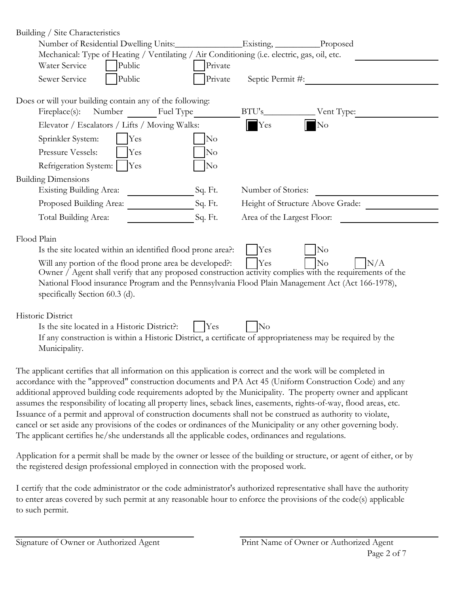| Building / Site Characteristics                                                                                                                                                                                                                                                                                               |         |                                  |                |
|-------------------------------------------------------------------------------------------------------------------------------------------------------------------------------------------------------------------------------------------------------------------------------------------------------------------------------|---------|----------------------------------|----------------|
| Number of Residential Dwelling Units:                                                                                                                                                                                                                                                                                         |         | $\equiv$ Existing,               | Proposed       |
| Mechanical: Type of Heating / Ventilating / Air Conditioning (i.e. electric, gas, oil, etc.                                                                                                                                                                                                                                   |         |                                  |                |
| Water Service<br>Public                                                                                                                                                                                                                                                                                                       | Private |                                  |                |
| Public<br>Sewer Service                                                                                                                                                                                                                                                                                                       | Private | Septic Permit #:                 |                |
| Does or will your building contain any of the following:                                                                                                                                                                                                                                                                      |         |                                  |                |
| Fireplace(s): Number Fuel Type                                                                                                                                                                                                                                                                                                |         | BTU's                            | Vent Type:     |
| Elevator / Escalators / Lifts / Moving Walks:                                                                                                                                                                                                                                                                                 |         | $\mathbf{Y}$ es                  | No             |
| Sprinkler System:<br>Yes                                                                                                                                                                                                                                                                                                      | No      |                                  |                |
| Pressure Vessels:<br>Yes                                                                                                                                                                                                                                                                                                      | No      |                                  |                |
| Refrigeration System:<br><b>Yes</b>                                                                                                                                                                                                                                                                                           | No      |                                  |                |
| <b>Building Dimensions</b>                                                                                                                                                                                                                                                                                                    |         |                                  |                |
| <b>Existing Building Area:</b>                                                                                                                                                                                                                                                                                                | Sq. Ft. | Number of Stories:               |                |
| Proposed Building Area:                                                                                                                                                                                                                                                                                                       | Sq. Ft. | Height of Structure Above Grade: |                |
| Total Building Area:                                                                                                                                                                                                                                                                                                          | Sq. Ft. | Area of the Largest Floor:       |                |
| Flood Plain                                                                                                                                                                                                                                                                                                                   |         |                                  |                |
| Is the site located within an identified flood prone area?:                                                                                                                                                                                                                                                                   |         | Yes                              | N <sub>o</sub> |
| No<br>N/A<br>Yes<br>Will any portion of the flood prone area be developed?:<br>Owner / Agent shall verify that any proposed construction activity complies with the requirements of the<br>National Flood insurance Program and the Pennsylvania Flood Plain Management Act (Act 166-1978),<br>specifically Section 60.3 (d). |         |                                  |                |
| Historic District                                                                                                                                                                                                                                                                                                             |         |                                  |                |
| Is the site located in a Historic District?:<br>Yes<br>No<br>If any construction is within a Historic District, a certificate of appropriateness may be required by the<br>Municipality.                                                                                                                                      |         |                                  |                |
| The applicant certifies that all information on this application is correct and the work will be completed in<br>accordance with the "approved" construction documents and PA Act 45 (Uniform Construction Code) and any                                                                                                      |         |                                  |                |

additional approved building code requirements adopted by the Municipality. The property owner and applicant assumes the responsibility of locating all property lines, seback lines, easements, rights-of-way, flood areas, etc. Issuance of a permit and approval of construction documents shall not be construed as authority to violate, cancel or set aside any provisions of the codes or ordinances of the Municipality or any other governing body. The applicant certifies he/she understands all the applicable codes, ordinances and regulations.

Application for a permit shall be made by the owner or lessee of the building or structure, or agent of either, or by the registered design professional employed in connection with the proposed work.

I certify that the code administrator or the code administrator's authorized representative shall have the authority to enter areas covered by such permit at any reasonable hour to enforce the provisions of the code(s) applicable to such permit.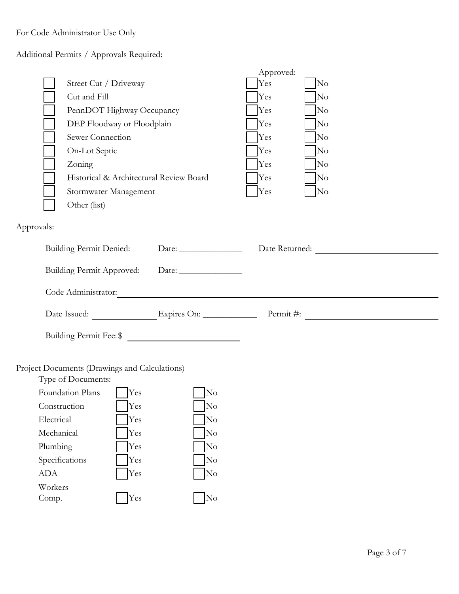For Code Administrator Use Only

Additional Permits / Approvals Required:

Specifications TYes No ADA  $\bigcap$ Yes  $\bigcap$ No

Workers Comp.

No No No

|            |              |                                                |    | Approved: |                                    |
|------------|--------------|------------------------------------------------|----|-----------|------------------------------------|
|            |              | Street Cut / Driveway                          |    | Yes       | No                                 |
|            |              | Cut and Fill                                   |    | Yes       | No                                 |
|            |              | PennDOT Highway Occupancy                      |    | Yes       | N <sub>o</sub>                     |
|            |              | DEP Floodway or Floodplain                     |    | Yes       | No                                 |
|            |              | Sewer Connection                               |    | Yes       | No                                 |
|            |              | On-Lot Septic                                  |    | Yes       | No                                 |
|            |              | Zoning                                         |    | Yes       | No                                 |
|            |              | Historical & Architectural Review Board        |    | Yes       | No                                 |
|            |              | Stormwater Management                          |    | Yes       | No                                 |
|            |              | Other (list)                                   |    |           |                                    |
|            |              |                                                |    |           |                                    |
| Approvals: |              |                                                |    |           |                                    |
|            |              | <b>Building Permit Denied:</b>                 |    |           | Date Returned:                     |
|            |              | Building Permit Approved: Date: ______________ |    |           |                                    |
|            |              | Code Administrator:                            |    |           |                                    |
|            |              |                                                |    |           | Date Issued: Expires On: Permit #: |
|            |              |                                                |    |           |                                    |
|            |              | Building Permit Fee: \$                        |    |           |                                    |
|            |              |                                                |    |           |                                    |
|            |              | Project Documents (Drawings and Calculations)  |    |           |                                    |
|            |              | Type of Documents:                             |    |           |                                    |
|            |              | Foundation Plans<br>Yes                        | No |           |                                    |
|            | Construction | Yes                                            | No |           |                                    |
|            | Electrical   | Yes                                            | No |           |                                    |
|            | Mechanical   | Yes                                            | No |           |                                    |
|            | Plumbing     | Yes                                            | No |           |                                    |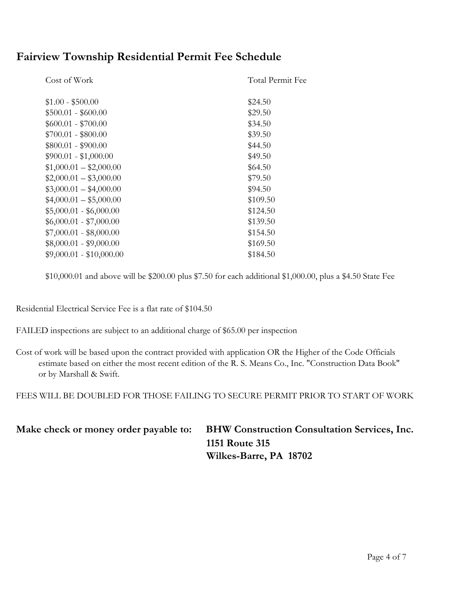### **Fairview Township Residential Permit Fee Schedule**

| Cost of Work             | Total Permit Fee |
|--------------------------|------------------|
| $$1.00 - $500.00$        | \$24.50          |
| $$500.01 - $600.00$      | \$29.50          |
| $$600.01 - $700.00$      | \$34.50          |
| $$700.01 - $800.00$      | \$39.50          |
| $$800.01 - $900.00$      | \$44.50          |
| $$900.01 - $1,000.00$    | \$49.50          |
| $$1,000.01 - $2,000.00$  | \$64.50          |
| $$2,000.01 - $3,000.00$  | \$79.50          |
| $$3,000.01 - $4,000.00$  | \$94.50          |
| $$4,000.01 - $5,000.00$  | \$109.50         |
| $$5,000.01 - $6,000.00$  | \$124.50         |
| $$6,000.01 - $7,000.00$  | \$139.50         |
| $$7,000.01 - $8,000.00$  | \$154.50         |
| $$8,000.01 - $9,000.00$  | \$169.50         |
| $$9,000.01 - $10,000.00$ | \$184.50         |
|                          |                  |

\$10,000.01 and above will be \$200.00 plus \$7.50 for each additional \$1,000.00, plus a \$4.50 State Fee

Residential Electrical Service Fee is a flat rate of \$104.50

- FAILED inspections are subject to an additional charge of \$65.00 per inspection
- Cost of work will be based upon the contract provided with application OR the Higher of the Code Officials estimate based on either the most recent edition of the R. S. Means Co., Inc. "Construction Data Book" or by Marshall & Swift.

FEES WILL BE DOUBLED FOR THOSE FAILING TO SECURE PERMIT PRIOR TO START OF WORK

| Make check or money order payable to: | <b>BHW Construction Consultation Services, Inc.</b> |  |
|---------------------------------------|-----------------------------------------------------|--|
|                                       | <b>1151 Route 315</b>                               |  |
|                                       | Wilkes-Barre, PA 18702                              |  |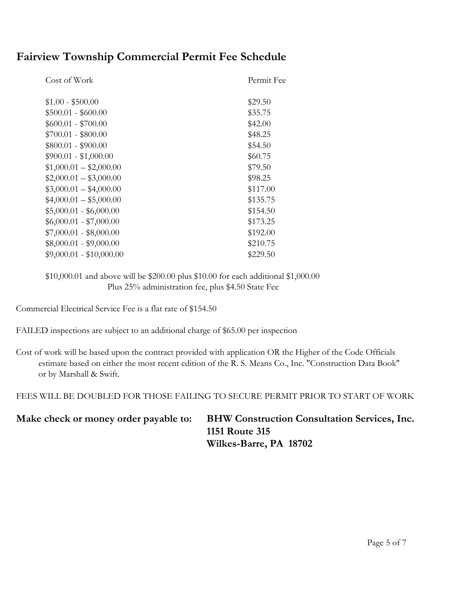## **Fairview Township Commercial Permit Fee Schedule**

| Cost of Work             | Permit Fee |
|--------------------------|------------|
| $$1.00 - $500.00$        | \$29.50    |
| $$500.01 - $600.00$      | \$35.75    |
| $$600.01 - $700.00$      | \$42.00    |
| $$700.01 - $800.00$      | \$48.25    |
| $$800.01 - $900.00$      | \$54.50    |
| $$900.01 - $1,000.00$    | \$60.75    |
| $$1,000.01 - $2,000.00$  | \$79.50    |
| $$2,000.01 - $3,000.00$  | \$98.25    |
| $$3,000.01 - $4,000.00$  | \$117.00   |
| $$4,000.01 - $5,000.00$  | \$135.75   |
| $$5,000.01 - $6,000.00$  | \$154.50   |
| $$6,000.01 - $7,000.00$  | \$173.25   |
| $$7,000.01 - $8,000.00$  | \$192.00   |
| $$8,000.01 - $9,000.00$  | \$210.75   |
| $$9,000.01 - $10,000.00$ | \$229.50   |

\$10,000.01 and above will be \$200.00 plus \$10.00 for each additional \$1,000.00 Plus 25% administration fee, plus \$4.50 State Fee

Commercial Electrical Service Fee is a flat rate of \$154.50

FAILED inspections are subject to an additional charge of \$65.00 per inspection

Cost of work will be based upon the contract provided with application OR the Higher of the Code Officials estimate based on either the most recent edition of the R. S. Means Co., Inc. "Construction Data Book" or by Marshall & Swift.

FEES WILL BE DOUBLED FOR THOSE FAILING TO SECURE PERMIT PRIOR TO START OF WORK

#### **Make check or money order payable to: BHW Construction Consultation Services, Inc. 1151 Route 315 Wilkes-Barre, PA 18702**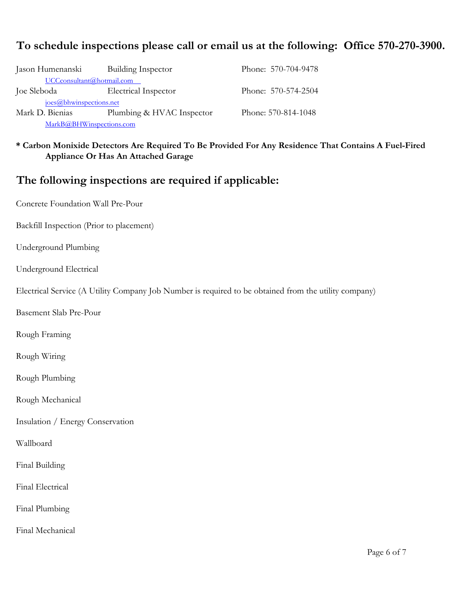### **To schedule inspections please call or email us at the following: Office 570-270-3900.**

| Building Inspector<br>Jason Humenanski |                           | Phone: 570-704-9478 |  |
|----------------------------------------|---------------------------|---------------------|--|
| UCCconsultant@hotmail.com              |                           |                     |  |
| Joe Sleboda                            | Electrical Inspector      | Phone: 570-574-2504 |  |
| joes@bhwinspections.net                |                           |                     |  |
| Mark D. Bienias                        | Plumbing & HVAC Inspector | Phone: 570-814-1048 |  |
| MarkB@BHWinspections.com               |                           |                     |  |

**\* Carbon Monixide Detectors Are Required To Be Provided For Any Residence That Contains A Fuel-Fired Appliance Or Has An Attached Garage**

#### **The following inspections are required if applicable:**

Concrete Foundation Wall Pre-Pour

Backfill Inspection (Prior to placement)

Underground Plumbing

Underground Electrical

Electrical Service (A Utility Company Job Number is required to be obtained from the utility company)

Basement Slab Pre-Pour

Rough Framing

Rough Wiring

Rough Plumbing

Rough Mechanical

Insulation / Energy Conservation

Wallboard

Final Building

Final Electrical

Final Plumbing

Final Mechanical